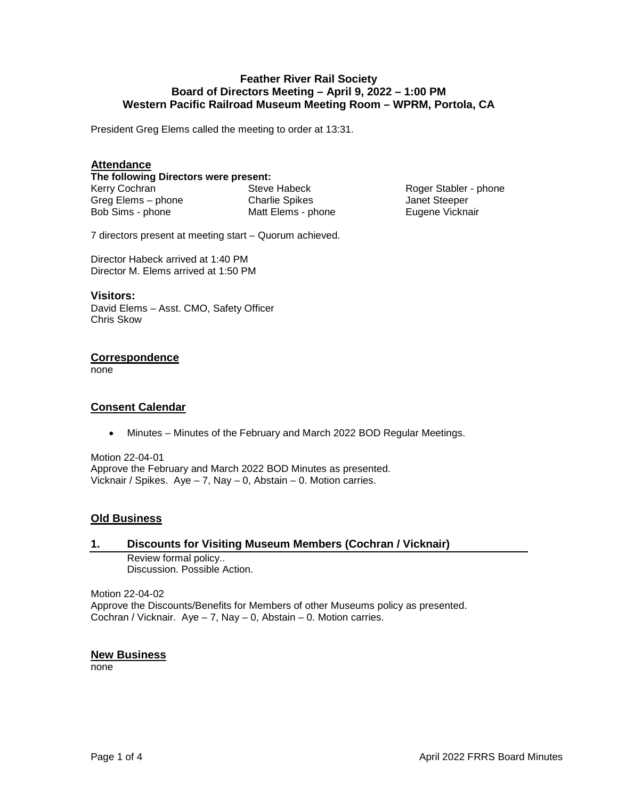## **Feather River Rail Society Board of Directors Meeting – April 9, 2022 – 1:00 PM Western Pacific Railroad Museum Meeting Room – WPRM, Portola, CA**

President Greg Elems called the meeting to order at 13:31.

## **Attendance**

**The following Directors were present:** 

Kerry Cochran Greg Elems – phone Bob Sims - phone

Steve Habeck Charlie Spikes Matt Elems - phone

Roger Stabler - phone Janet Steeper Eugene Vicknair

7 directors present at meeting start – Quorum achieved.

Director Habeck arrived at 1:40 PM Director M. Elems arrived at 1:50 PM

#### **Visitors:**

David Elems – Asst. CMO, Safety Officer Chris Skow

### **Correspondence**

none

# **Consent Calendar**

• Minutes – Minutes of the February and March 2022 BOD Regular Meetings.

Motion 22-04-01 Approve the February and March 2022 BOD Minutes as presented. Vicknair / Spikes. Aye – 7, Nay – 0, Abstain – 0. Motion carries.

# **Old Business**

### **1. Discounts for Visiting Museum Members (Cochran / Vicknair)**

Review formal policy.. Discussion. Possible Action.

Motion 22-04-02 Approve the Discounts/Benefits for Members of other Museums policy as presented. Cochran / Vicknair.  $Aye - 7$ ,  $Nay - 0$ ,  $Abstain - 0$ . Motion carries.

### **New Business**

none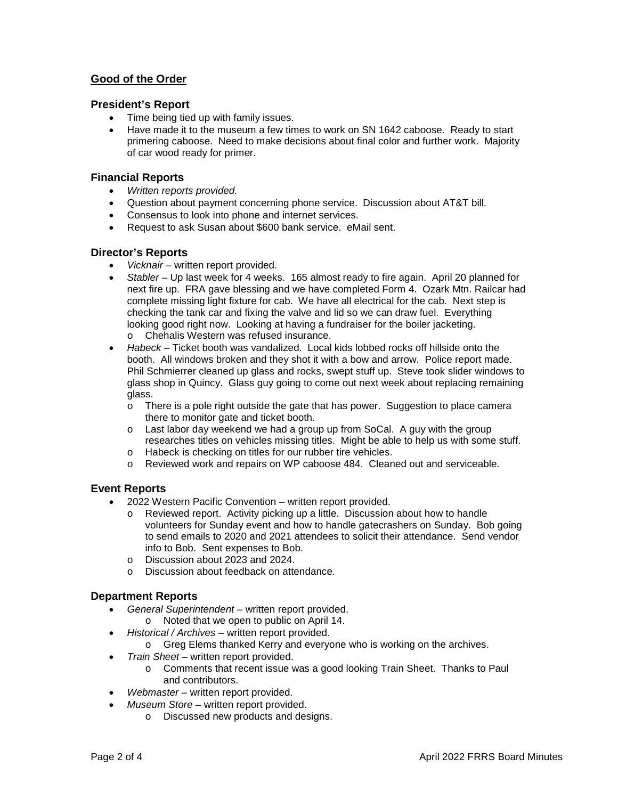# **Good of the Order**

### **President's Report**

- Time being tied up with family issues.
- Have made it to the museum a few times to work on SN 1642 caboose. Ready to start primering caboose. Need to make decisions about final color and further work. Majority of car wood ready for primer.

### **Financial Reports**

- *Written reports provided.*
- Question about payment concerning phone service. Discussion about AT&T bill.
- Consensus to look into phone and internet services.
- Request to ask Susan about \$600 bank service. eMail sent.

#### **Director's Reports**

- *Vicknair* written report provided.
- *Stabler*  Up last week for 4 weeks. 165 almost ready to fire again. April 20 planned for next fire up. FRA gave blessing and we have completed Form 4. Ozark Mtn. Railcar had complete missing light fixture for cab. We have all electrical for the cab. Next step is checking the tank car and fixing the valve and lid so we can draw fuel. Everything looking good right now. Looking at having a fundraiser for the boiler jacketing. o Chehalis Western was refused insurance.
- *Habeck* Ticket booth was vandalized. Local kids lobbed rocks off hillside onto the booth. All windows broken and they shot it with a bow and arrow. Police report made. Phil Schmierrer cleaned up glass and rocks, swept stuff up. Steve took slider windows to glass shop in Quincy. Glass guy going to come out next week about replacing remaining glass.
	- $\circ$  There is a pole right outside the gate that has power. Suggestion to place camera there to monitor gate and ticket booth.
	- o Last labor day weekend we had a group up from SoCal. A guy with the group researches titles on vehicles missing titles. Might be able to help us with some stuff.
	- o Habeck is checking on titles for our rubber tire vehicles.
	- o Reviewed work and repairs on WP caboose 484. Cleaned out and serviceable.

### **Event Reports**

- 2022 Western Pacific Convention written report provided.
	- o Reviewed report. Activity picking up a little. Discussion about how to handle volunteers for Sunday event and how to handle gatecrashers on Sunday. Bob going to send emails to 2020 and 2021 attendees to solicit their attendance. Send vendor info to Bob. Sent expenses to Bob.
	- o Discussion about 2023 and 2024.
	- o Discussion about feedback on attendance.

### **Department Reports**

- *General Superintendent* written report provided.
	- o Noted that we open to public on April 14.
- *Historical / Archives* written report provided.
	- o Greg Elems thanked Kerry and everyone who is working on the archives.
- *Train Sheet* written report provided.
	- o Comments that recent issue was a good looking Train Sheet. Thanks to Paul and contributors.
- *Webmaster* written report provided.
- *Museum Store*  written report provided.
	- o Discussed new products and designs.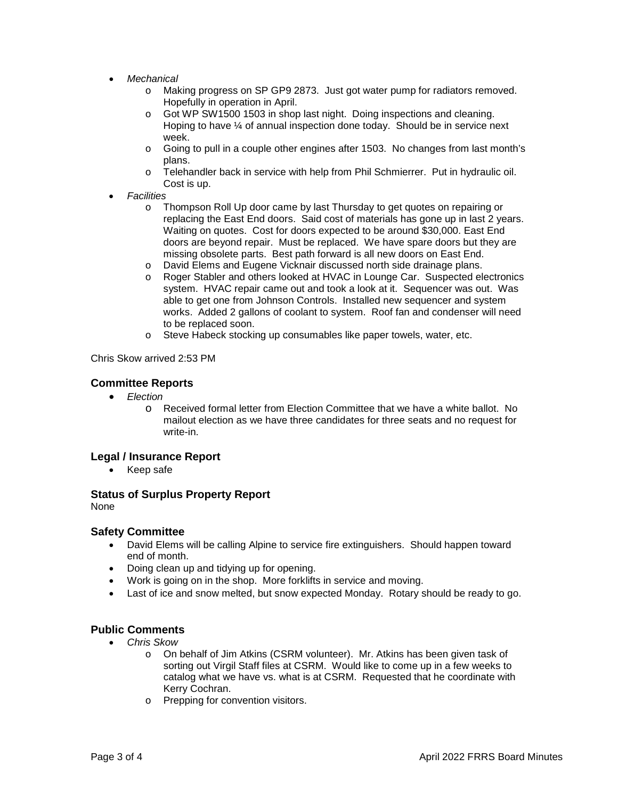- *Mechanical*
	- o Making progress on SP GP9 2873. Just got water pump for radiators removed. Hopefully in operation in April.
	- $\circ$  Got WP SW1500 1503 in shop last night. Doing inspections and cleaning. Hoping to have ¼ of annual inspection done today. Should be in service next week.
	- o Going to pull in a couple other engines after 1503. No changes from last month's plans.
	- o Telehandler back in service with help from Phil Schmierrer. Put in hydraulic oil. Cost is up.
- *Facilities*
	- o Thompson Roll Up door came by last Thursday to get quotes on repairing or replacing the East End doors. Said cost of materials has gone up in last 2 years. Waiting on quotes. Cost for doors expected to be around \$30,000. East End doors are beyond repair. Must be replaced. We have spare doors but they are missing obsolete parts. Best path forward is all new doors on East End.
	- o David Elems and Eugene Vicknair discussed north side drainage plans.<br>
	o Roger Stabler and others looked at HVAC in Lounge Car. Suspected ele
	- Roger Stabler and others looked at HVAC in Lounge Car. Suspected electronics system. HVAC repair came out and took a look at it. Sequencer was out. Was able to get one from Johnson Controls. Installed new sequencer and system works. Added 2 gallons of coolant to system. Roof fan and condenser will need to be replaced soon.
	- o Steve Habeck stocking up consumables like paper towels, water, etc.

Chris Skow arrived 2:53 PM

#### **Committee Reports**

- *Election* 
	- o Received formal letter from Election Committee that we have a white ballot. No mailout election as we have three candidates for three seats and no request for write-in.

### **Legal / Insurance Report**

• Keep safe

### **Status of Surplus Property Report**

None

#### **Safety Committee**

- David Elems will be calling Alpine to service fire extinguishers. Should happen toward end of month.
- Doing clean up and tidying up for opening.
- Work is going on in the shop. More forklifts in service and moving.
- Last of ice and snow melted, but snow expected Monday. Rotary should be ready to go.

### **Public Comments**

- *Chris Skow* 
	- o On behalf of Jim Atkins (CSRM volunteer). Mr. Atkins has been given task of sorting out Virgil Staff files at CSRM. Would like to come up in a few weeks to catalog what we have vs. what is at CSRM. Requested that he coordinate with Kerry Cochran.
	- o Prepping for convention visitors.